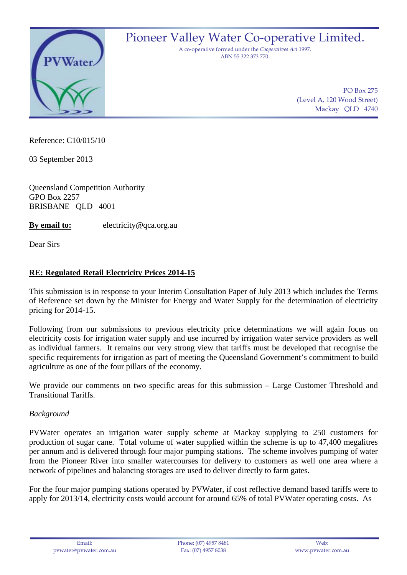

Pioneer Valley Water Co-operative Limited.

A co‐operative formed under the *Cooperatives Act* 1997. ABN 55 322 373 770.

> PO Box 275 (Level A, 120 Wood Street) Mackay QLD 4740

Reference: C10/015/10

03 September 2013

Queensland Competition Authority GPO Box 2257 BRISBANE QLD 4001

**By email to:** electricity@qca.org.au

Dear Sirs

## **RE: Regulated Retail Electricity Prices 2014-15**

This submission is in response to your Interim Consultation Paper of July 2013 which includes the Terms of Reference set down by the Minister for Energy and Water Supply for the determination of electricity pricing for 2014-15.

Following from our submissions to previous electricity price determinations we will again focus on electricity costs for irrigation water supply and use incurred by irrigation water service providers as well as individual farmers. It remains our very strong view that tariffs must be developed that recognise the specific requirements for irrigation as part of meeting the Queensland Government's commitment to build agriculture as one of the four pillars of the economy.

We provide our comments on two specific areas for this submission – Large Customer Threshold and Transitional Tariffs.

## *Background*

PVWater operates an irrigation water supply scheme at Mackay supplying to 250 customers for production of sugar cane. Total volume of water supplied within the scheme is up to 47,400 megalitres per annum and is delivered through four major pumping stations. The scheme involves pumping of water from the Pioneer River into smaller watercourses for delivery to customers as well one area where a network of pipelines and balancing storages are used to deliver directly to farm gates.

For the four major pumping stations operated by PVWater, if cost reflective demand based tariffs were to apply for 2013/14, electricity costs would account for around 65% of total PVWater operating costs. As